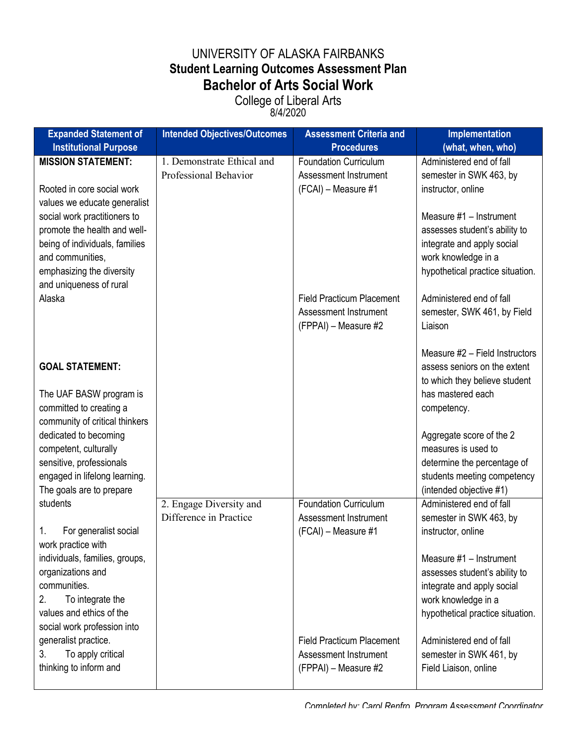## UNIVERSITY OF ALASKA FAIRBANKS **Student Learning Outcomes Assessment Plan Bachelor of Arts Social Work**

College of Liberal Arts 8/4/2020

| <b>Expanded Statement of</b>                                                                                                                                               | <b>Intended Objectives/Outcomes</b>                 | <b>Assessment Criteria and</b>                                                    | Implementation                                                                                                                                    |
|----------------------------------------------------------------------------------------------------------------------------------------------------------------------------|-----------------------------------------------------|-----------------------------------------------------------------------------------|---------------------------------------------------------------------------------------------------------------------------------------------------|
| <b>Institutional Purpose</b>                                                                                                                                               |                                                     | <b>Procedures</b>                                                                 | (what, when, who)                                                                                                                                 |
| <b>MISSION STATEMENT:</b><br>Rooted in core social work<br>values we educate generalist                                                                                    | 1. Demonstrate Ethical and<br>Professional Behavior | <b>Foundation Curriculum</b><br>Assessment Instrument<br>(FCAI) - Measure #1      | Administered end of fall<br>semester in SWK 463, by<br>instructor, online                                                                         |
| social work practitioners to<br>promote the health and well-<br>being of individuals, families<br>and communities,<br>emphasizing the diversity<br>and uniqueness of rural |                                                     |                                                                                   | Measure #1 - Instrument<br>assesses student's ability to<br>integrate and apply social<br>work knowledge in a<br>hypothetical practice situation. |
| Alaska                                                                                                                                                                     |                                                     | <b>Field Practicum Placement</b><br>Assessment Instrument<br>(FPPAI) - Measure #2 | Administered end of fall<br>semester, SWK 461, by Field<br>Liaison                                                                                |
| <b>GOAL STATEMENT:</b>                                                                                                                                                     |                                                     |                                                                                   | Measure #2 - Field Instructors<br>assess seniors on the extent<br>to which they believe student                                                   |
| The UAF BASW program is<br>committed to creating a<br>community of critical thinkers                                                                                       |                                                     |                                                                                   | has mastered each<br>competency.                                                                                                                  |
| dedicated to becoming<br>competent, culturally<br>sensitive, professionals<br>engaged in lifelong learning.                                                                |                                                     |                                                                                   | Aggregate score of the 2<br>measures is used to<br>determine the percentage of<br>students meeting competency                                     |
| The goals are to prepare                                                                                                                                                   |                                                     |                                                                                   | (intended objective #1)                                                                                                                           |
| students<br>For generalist social<br>1.<br>work practice with                                                                                                              | 2. Engage Diversity and<br>Difference in Practice   | <b>Foundation Curriculum</b><br>Assessment Instrument<br>(FCAI) - Measure #1      | Administered end of fall<br>semester in SWK 463, by<br>instructor, online                                                                         |
| individuals, families, groups,<br>organizations and<br>communities.<br>2.<br>To integrate the<br>values and ethics of the<br>social work profession into                   |                                                     |                                                                                   | Measure #1 - Instrument<br>assesses student's ability to<br>integrate and apply social<br>work knowledge in a<br>hypothetical practice situation. |
| generalist practice.<br>To apply critical<br>3.<br>thinking to inform and                                                                                                  |                                                     | <b>Field Practicum Placement</b><br>Assessment Instrument<br>(FPPAI) - Measure #2 | Administered end of fall<br>semester in SWK 461, by<br>Field Liaison, online                                                                      |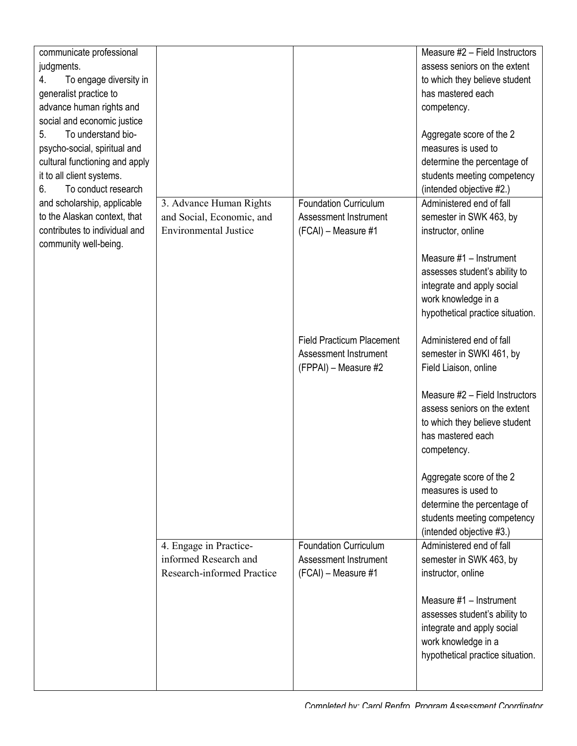|                                                                                                                                                                                     |                                                                                      |                                                                                   | Measure #1 - Instrument<br>assesses student's ability to<br>integrate and apply social<br>work knowledge in a<br>hypothetical practice situation. |
|-------------------------------------------------------------------------------------------------------------------------------------------------------------------------------------|--------------------------------------------------------------------------------------|-----------------------------------------------------------------------------------|---------------------------------------------------------------------------------------------------------------------------------------------------|
|                                                                                                                                                                                     | 4. Engage in Practice-<br>informed Research and<br><b>Research-informed Practice</b> | <b>Foundation Curriculum</b><br>Assessment Instrument<br>(FCAI) - Measure #1      | Administered end of fall<br>semester in SWK 463, by<br>instructor, online                                                                         |
|                                                                                                                                                                                     |                                                                                      |                                                                                   | Aggregate score of the 2<br>measures is used to<br>determine the percentage of<br>students meeting competency<br>(intended objective #3.)         |
|                                                                                                                                                                                     |                                                                                      |                                                                                   | Measure #2 - Field Instructors<br>assess seniors on the extent<br>to which they believe student<br>has mastered each<br>competency.               |
|                                                                                                                                                                                     |                                                                                      | <b>Field Practicum Placement</b><br>Assessment Instrument<br>(FPPAI) - Measure #2 | Administered end of fall<br>semester in SWKI 461, by<br>Field Liaison, online                                                                     |
| community well-being.                                                                                                                                                               |                                                                                      |                                                                                   | Measure #1 - Instrument<br>assesses student's ability to<br>integrate and apply social<br>work knowledge in a<br>hypothetical practice situation. |
| and scholarship, applicable<br>to the Alaskan context, that<br>contributes to individual and                                                                                        | 3. Advance Human Rights<br>and Social, Economic, and<br><b>Environmental Justice</b> | <b>Foundation Curriculum</b><br>Assessment Instrument<br>(FCAI) - Measure #1      | Administered end of fall<br>semester in SWK 463, by<br>instructor, online                                                                         |
| social and economic justice<br>To understand bio-<br>5.<br>psycho-social, spiritual and<br>cultural functioning and apply<br>it to all client systems.<br>To conduct research<br>6. |                                                                                      |                                                                                   | Aggregate score of the 2<br>measures is used to<br>determine the percentage of<br>students meeting competency<br>(intended objective #2.)         |
| communicate professional<br>judgments.<br>To engage diversity in<br>4.<br>generalist practice to<br>advance human rights and                                                        |                                                                                      |                                                                                   | Measure #2 - Field Instructors<br>assess seniors on the extent<br>to which they believe student<br>has mastered each<br>competency.               |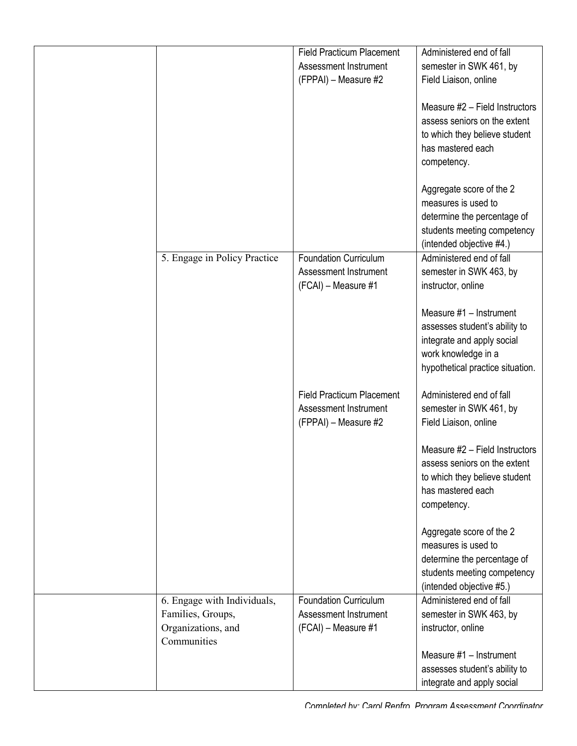|                              | <b>Field Practicum Placement</b> | Administered end of fall         |
|------------------------------|----------------------------------|----------------------------------|
|                              | Assessment Instrument            | semester in SWK 461, by          |
|                              | (FPPAI) - Measure #2             | Field Liaison, online            |
|                              |                                  |                                  |
|                              |                                  | Measure #2 - Field Instructors   |
|                              |                                  | assess seniors on the extent     |
|                              |                                  | to which they believe student    |
|                              |                                  | has mastered each                |
|                              |                                  | competency.                      |
|                              |                                  |                                  |
|                              |                                  | Aggregate score of the 2         |
|                              |                                  | measures is used to              |
|                              |                                  | determine the percentage of      |
|                              |                                  | students meeting competency      |
|                              |                                  | (intended objective #4.)         |
| 5. Engage in Policy Practice | <b>Foundation Curriculum</b>     | Administered end of fall         |
|                              | Assessment Instrument            | semester in SWK 463, by          |
|                              | (FCAI) - Measure #1              | instructor, online               |
|                              |                                  |                                  |
|                              |                                  | Measure #1 - Instrument          |
|                              |                                  | assesses student's ability to    |
|                              |                                  | integrate and apply social       |
|                              |                                  | work knowledge in a              |
|                              |                                  | hypothetical practice situation. |
|                              |                                  |                                  |
|                              | <b>Field Practicum Placement</b> | Administered end of fall         |
|                              | Assessment Instrument            | semester in SWK 461, by          |
|                              | (FPPAI) - Measure #2             | Field Liaison, online            |
|                              |                                  |                                  |
|                              |                                  | Measure #2 - Field Instructors   |
|                              |                                  | assess seniors on the extent     |
|                              |                                  | to which they believe student    |
|                              |                                  | has mastered each                |
|                              |                                  | competency.                      |
|                              |                                  |                                  |
|                              |                                  | Aggregate score of the 2         |
|                              |                                  | measures is used to              |
|                              |                                  | determine the percentage of      |
|                              |                                  | students meeting competency      |
|                              |                                  | (intended objective #5.)         |
| 6. Engage with Individuals,  | <b>Foundation Curriculum</b>     | Administered end of fall         |
| Families, Groups,            | Assessment Instrument            | semester in SWK 463, by          |
| Organizations, and           | (FCAI) - Measure #1              | instructor, online               |
| Communities                  |                                  |                                  |
|                              |                                  | Measure #1 - Instrument          |
|                              |                                  | assesses student's ability to    |
|                              |                                  | integrate and apply social       |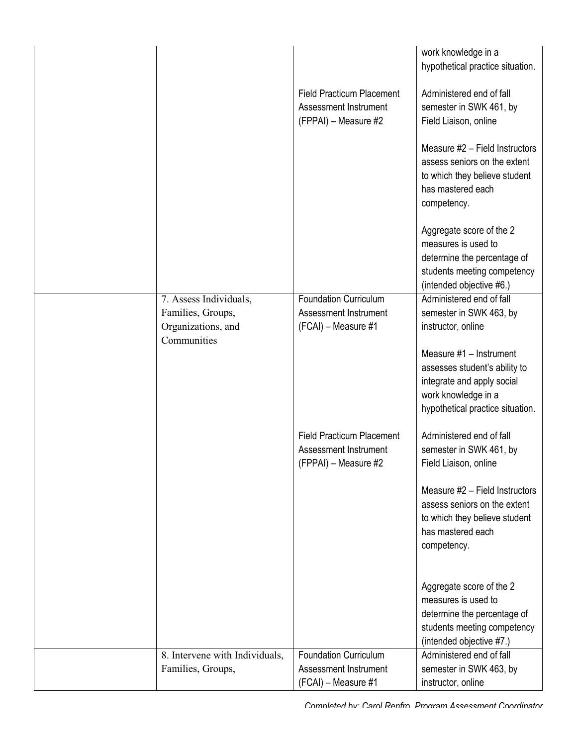| work knowledge in a                                                                        |  |
|--------------------------------------------------------------------------------------------|--|
| hypothetical practice situation.                                                           |  |
| <b>Field Practicum Placement</b><br>Administered end of fall                               |  |
| Assessment Instrument                                                                      |  |
| semester in SWK 461, by                                                                    |  |
| (FPPAI) - Measure #2<br>Field Liaison, online                                              |  |
| Measure #2 - Field Instructors                                                             |  |
| assess seniors on the extent                                                               |  |
| to which they believe student                                                              |  |
| has mastered each                                                                          |  |
| competency.                                                                                |  |
|                                                                                            |  |
| Aggregate score of the 2                                                                   |  |
| measures is used to                                                                        |  |
| determine the percentage of                                                                |  |
| students meeting competency                                                                |  |
| (intended objective #6.)                                                                   |  |
| 7. Assess Individuals,<br>Administered end of fall<br><b>Foundation Curriculum</b>         |  |
| Families, Groups,<br>Assessment Instrument<br>semester in SWK 463, by                      |  |
| Organizations, and<br>(FCAI) - Measure #1<br>instructor, online                            |  |
| Communities                                                                                |  |
| Measure #1 - Instrument                                                                    |  |
| assesses student's ability to                                                              |  |
| integrate and apply social                                                                 |  |
| work knowledge in a                                                                        |  |
| hypothetical practice situation.                                                           |  |
| <b>Field Practicum Placement</b><br>Administered end of fall                               |  |
| Assessment Instrument<br>semester in SWK 461, by                                           |  |
| (FPPAI) – Measure #2<br>Field Liaison, online                                              |  |
|                                                                                            |  |
| Measure #2 - Field Instructors                                                             |  |
| assess seniors on the extent                                                               |  |
| to which they believe student                                                              |  |
| has mastered each                                                                          |  |
| competency.                                                                                |  |
|                                                                                            |  |
| Aggregate score of the 2                                                                   |  |
| measures is used to                                                                        |  |
| determine the percentage of                                                                |  |
| students meeting competency                                                                |  |
| (intended objective #7.)                                                                   |  |
| 8. Intervene with Individuals,<br>Administered end of fall<br><b>Foundation Curriculum</b> |  |
|                                                                                            |  |
| Families, Groups,<br>Assessment Instrument<br>semester in SWK 463, by                      |  |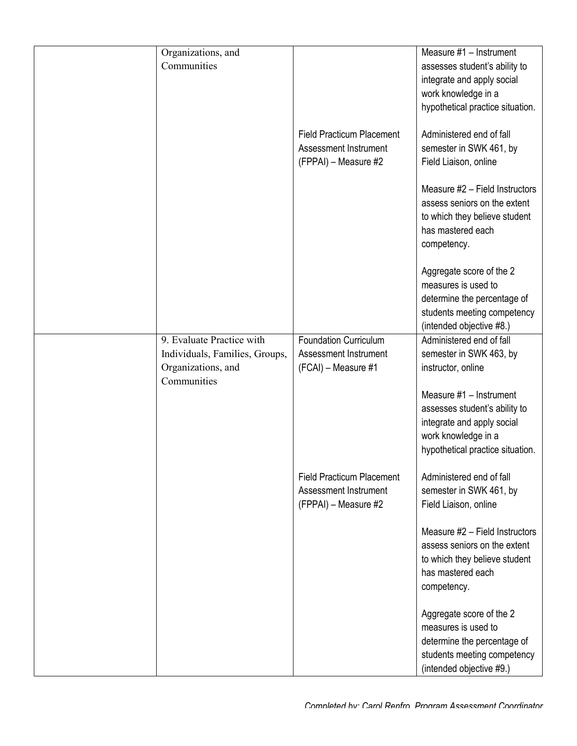| Organizations, and<br>Communities                                                                |                                                                                   | Measure #1 - Instrument<br>assesses student's ability to<br>integrate and apply social<br>work knowledge in a<br>hypothetical practice situation.                                                                              |
|--------------------------------------------------------------------------------------------------|-----------------------------------------------------------------------------------|--------------------------------------------------------------------------------------------------------------------------------------------------------------------------------------------------------------------------------|
|                                                                                                  | <b>Field Practicum Placement</b><br>Assessment Instrument<br>(FPPAI) - Measure #2 | Administered end of fall<br>semester in SWK 461, by<br>Field Liaison, online                                                                                                                                                   |
|                                                                                                  |                                                                                   | Measure #2 - Field Instructors<br>assess seniors on the extent<br>to which they believe student<br>has mastered each<br>competency.                                                                                            |
|                                                                                                  |                                                                                   | Aggregate score of the 2<br>measures is used to<br>determine the percentage of<br>students meeting competency<br>(intended objective #8.)                                                                                      |
| 9. Evaluate Practice with<br>Individuals, Families, Groups,<br>Organizations, and<br>Communities | <b>Foundation Curriculum</b><br>Assessment Instrument<br>(FCAI) - Measure #1      | Administered end of fall<br>semester in SWK 463, by<br>instructor, online<br>Measure #1 - Instrument<br>assesses student's ability to<br>integrate and apply social<br>work knowledge in a<br>hypothetical practice situation. |
|                                                                                                  | <b>Field Practicum Placement</b><br>Assessment Instrument<br>(FPPAI) - Measure #2 | Administered end of fall<br>semester in SWK 461, by<br>Field Liaison, online                                                                                                                                                   |
|                                                                                                  |                                                                                   | Measure #2 - Field Instructors<br>assess seniors on the extent<br>to which they believe student<br>has mastered each<br>competency.                                                                                            |
|                                                                                                  |                                                                                   | Aggregate score of the 2<br>measures is used to<br>determine the percentage of<br>students meeting competency<br>(intended objective #9.)                                                                                      |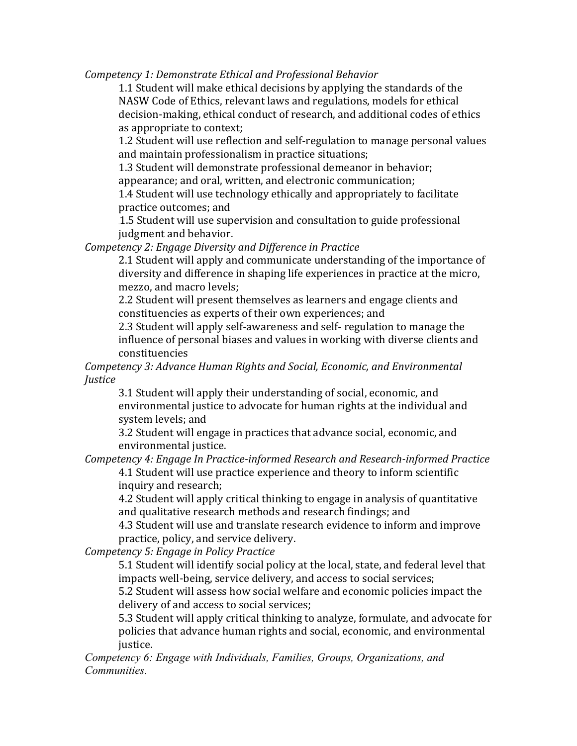*Competency 1: Demonstrate Ethical and Professional Behavior* 

1.1 Student will make ethical decisions by applying the standards of the NASW Code of Ethics, relevant laws and regulations, models for ethical decision-making, ethical conduct of research, and additional codes of ethics as appropriate to context;

1.2 Student will use reflection and self-regulation to manage personal values and maintain professionalism in practice situations;

1.3 Student will demonstrate professional demeanor in behavior; appearance; and oral, written, and electronic communication;

1.4 Student will use technology ethically and appropriately to facilitate practice outcomes; and

1.5 Student will use supervision and consultation to guide professional judgment and behavior.

*Competency 2: Engage Diversity and Difference in Practice* 

2.1 Student will apply and communicate understanding of the importance of diversity and difference in shaping life experiences in practice at the micro, mezzo, and macro levels;

2.2 Student will present themselves as learners and engage clients and constituencies as experts of their own experiences; and

2.3 Student will apply self-awareness and self- regulation to manage the influence of personal biases and values in working with diverse clients and constituencies 

*Competency 3: Advance Human Rights and Social, Economic, and Environmental Justice*

3.1 Student will apply their understanding of social, economic, and environmental justice to advocate for human rights at the individual and system levels; and

3.2 Student will engage in practices that advance social, economic, and environmental justice.

*Competency 4: Engage In Practice-informed Research and Research-informed Practice* 4.1 Student will use practice experience and theory to inform scientific inquiry and research;

4.2 Student will apply critical thinking to engage in analysis of quantitative and qualitative research methods and research findings; and

4.3 Student will use and translate research evidence to inform and improve practice, policy, and service delivery.

*Competency 5: Engage in Policy Practice* 

5.1 Student will identify social policy at the local, state, and federal level that impacts well-being, service delivery, and access to social services;

5.2 Student will assess how social welfare and economic policies impact the delivery of and access to social services;

5.3 Student will apply critical thinking to analyze, formulate, and advocate for policies that advance human rights and social, economic, and environmental justice.

*Competency 6: Engage with Individuals, Families, Groups, Organizations, and Communities.*